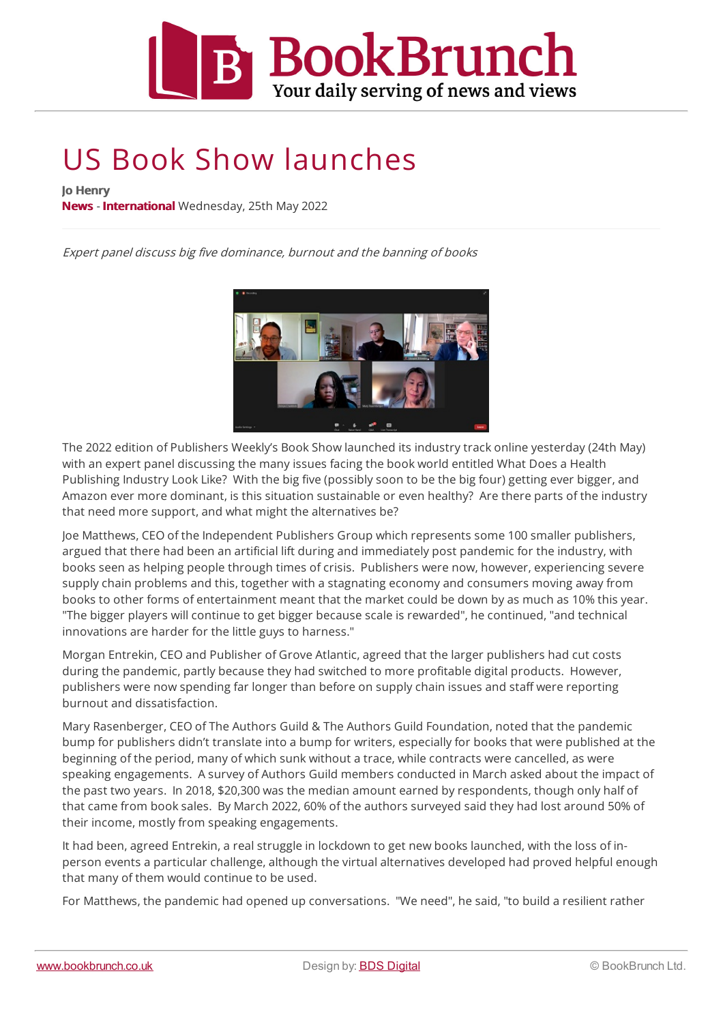

## US Book Show launches

**Jo Henry**

**[News](https://www.bookbrunch.co.uk/article/results/?SF1=cms_type_code&ST1=News&ds=News&pl=10&sort=sort_date/d) - [International](https://www.bookbrunch.co.uk//article/results/?SF1=cms_type_code&ST1=News&SF2=cms_category&ST2=International&ds=International&pl=10&sort=sort_date/d)** Wednesday, 25th May 2022

Expert panel discuss big five dominance, burnout and the banning of books



The 2022 edition of Publishers Weekly's Book Show launched its industry track online yesterday (24th May) with an expert panel discussing the many issues facing the book world entitled What Does a Health Publishing Industry Look Like? With the big five (possibly soon to be the big four) getting ever bigger, and Amazon ever more dominant, is this situation sustainable or even healthy? Are there parts of the industry that need more support, and what might the alternatives be?

Joe Matthews, CEO of the Independent Publishers Group which represents some 100 smaller publishers, argued that there had been an artificial lift during and immediately post pandemic for theindustry, with books seen as helping people through times of crisis. Publishers were now, however, experiencing severe supply chain problems and this, together with a stagnating economy and consumers moving away from books to other forms of entertainment meant that the market could be down by as much as 10% this year. "The bigger players will continue to get bigger because scale is rewarded", he continued, "and technical innovations are harder for the little guys to harness."

Morgan Entrekin, CEO and Publisher of Grove Atlantic, agreed that the larger publishers had cut costs during the pandemic, partly because they had switched to more profitable digital products. However, publishers were now spending far longer than before on supply chain issues and staff were reporting burnout and dissatisfaction.

Mary Rasenberger, CEO ofThe Authors Guild & The Authors Guild Foundation, noted that the pandemic bump for publishers didn't translate into a bump for writers, especially for books that were published at the beginning of the period, many of which sunk without a trace, while contracts were cancelled, as were speaking engagements. A survey of Authors Guild members conducted in March asked about the impact of the past two years. In 2018, \$20,300 was the median amount earned by respondents, though only half of that came from book sales. By March 2022, 60% of the authors surveyed said they had lost around 50% of their [income,](https://www.bookbrunch.co.uk) mostly from speaking engagements.

It had been, agreed Entrekin, a real struggle in lockdown to get new books launched, with the loss of inperson events a particular challenge, although the virtual alternatives developed had proved helpful enough that many of them would continue to be used.

For Matthews, the pandemic had opened up conversations. "We need", he said, "to build a resilient rather